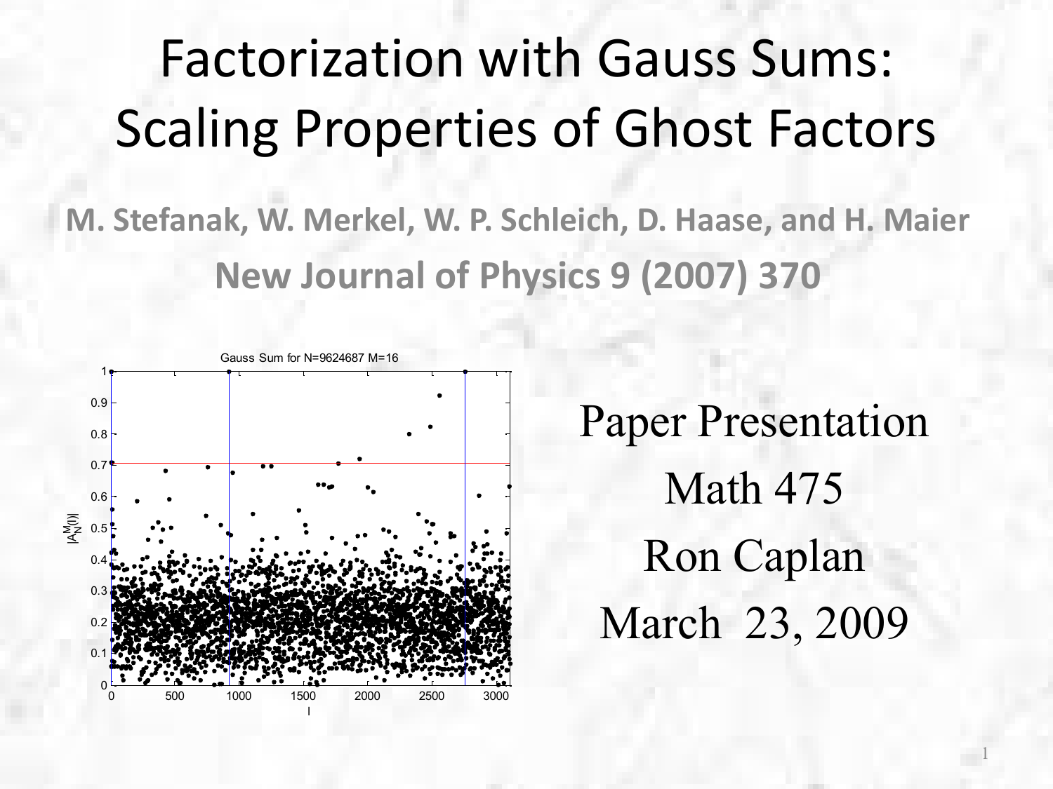## Factorization with Gauss Sums: Scaling Properties of Ghost Factors

**M. Stefanak, W. Merkel, W. P. Schleich, D. Haase, and H. Maier New Journal of Physics 9 (2007) 370**



Paper Presentation Math 475 Ron Caplan March 23, 2009

1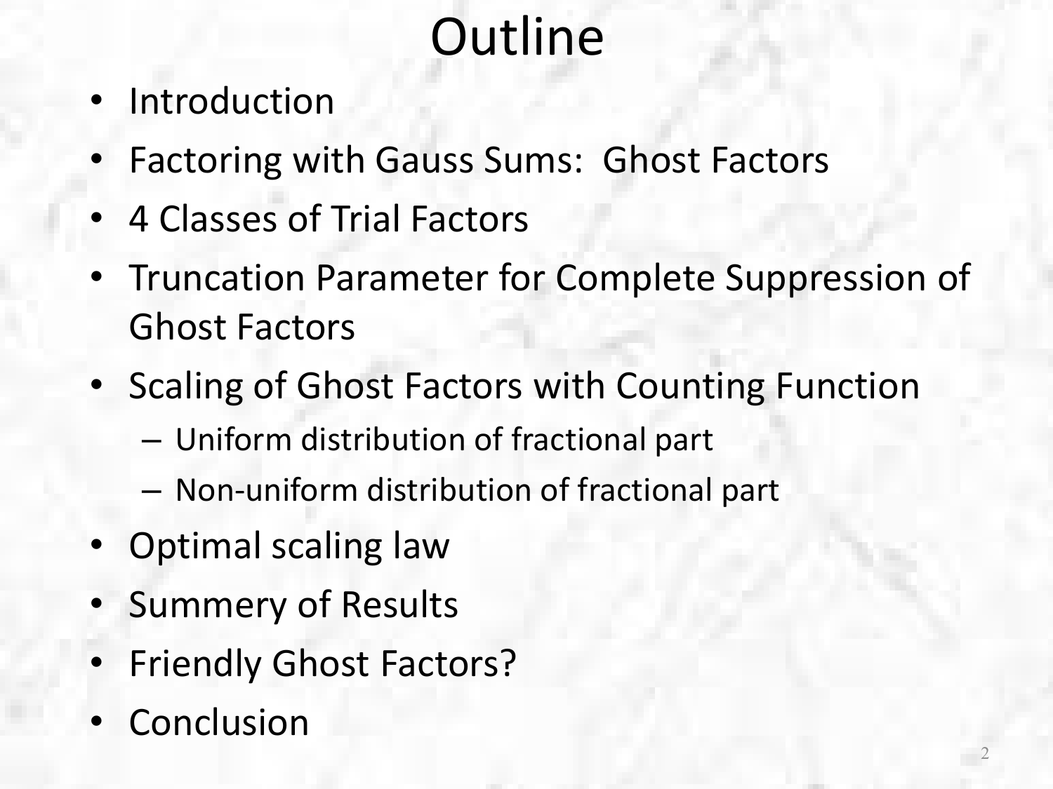# **Outline**

- Introduction
- Factoring with Gauss Sums: Ghost Factors
- 4 Classes of Trial Factors
- Truncation Parameter for Complete Suppression of Ghost Factors
- Scaling of Ghost Factors with Counting Function
	- Uniform distribution of fractional part
	- Non-uniform distribution of fractional part
- Optimal scaling law
- Summery of Results
- **Friendly Ghost Factors?**
- Conclusion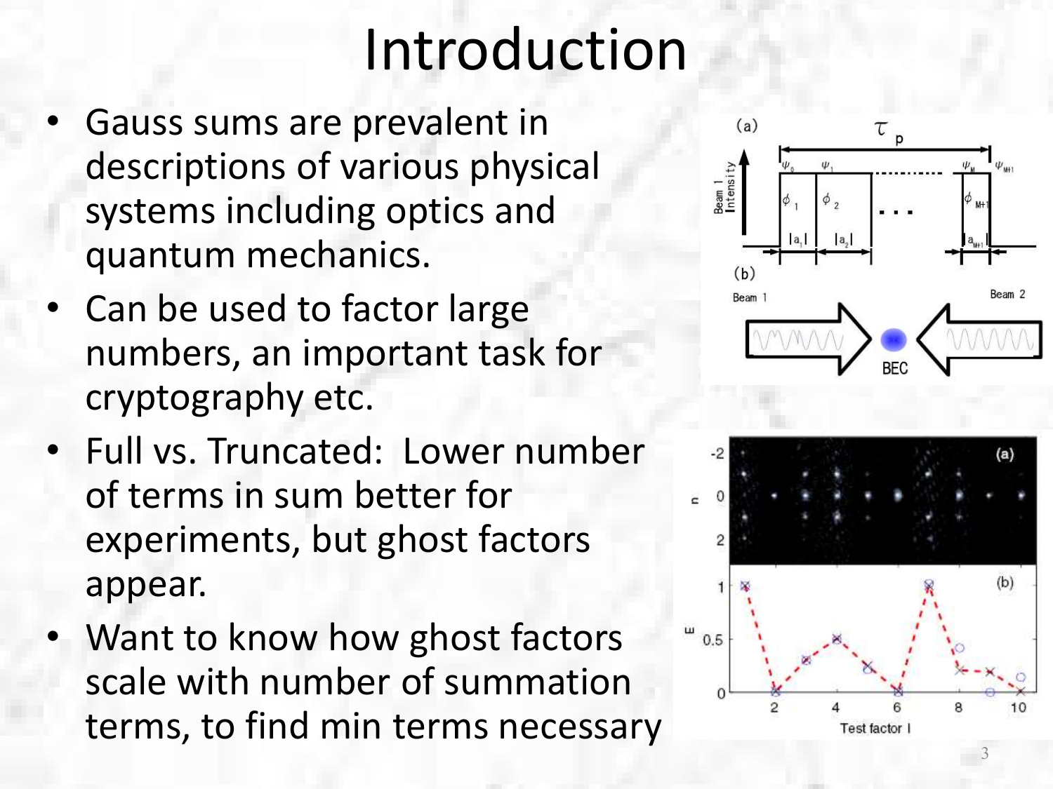# Introduction

- Gauss sums are prevalent in descriptions of various physical systems including optics and quantum mechanics.
- Can be used to factor large numbers, an important task for cryptography etc.
- Full vs. Truncated: Lower number of terms in sum better for experiments, but ghost factors appear.
- Want to know how ghost factors scale with number of summation terms, to find min terms necessary



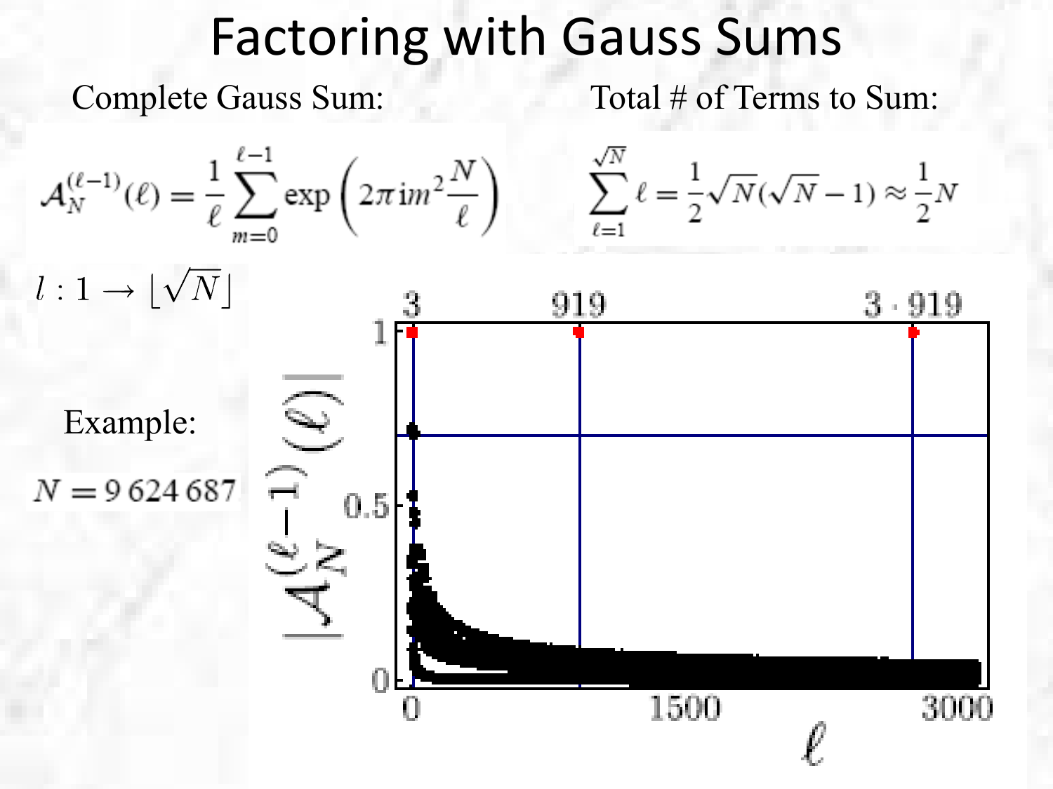#### Factoring with Gauss Sums

Complete Gauss Sum:

Total # of Terms to Sum:

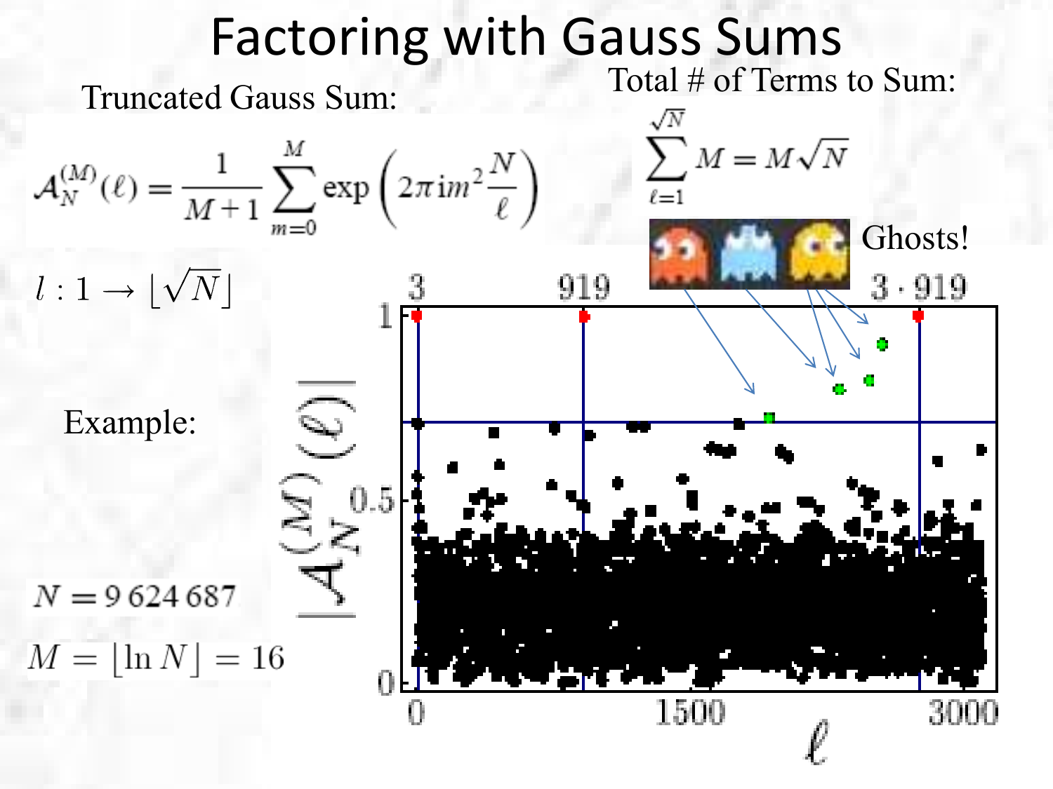#### Factoring with Gauss Sums Truncated Gauss Sum: Total # of Terms to Sum:  $\sum M = M\sqrt{N}$  $\mathcal{A}_N^{(M)}(\ell) = \frac{1}{M+1} \sum_{n=0}^{M} \exp \left( 2 \pi i m^2 \frac{N}{\ell} \right)$ Ghosts! $l:1\to |\sqrt{N}|$  $3.919$ 919 Example: UJ.  $N = 9624687$  $M = |\ln N| = 16$ 1500 30 H K I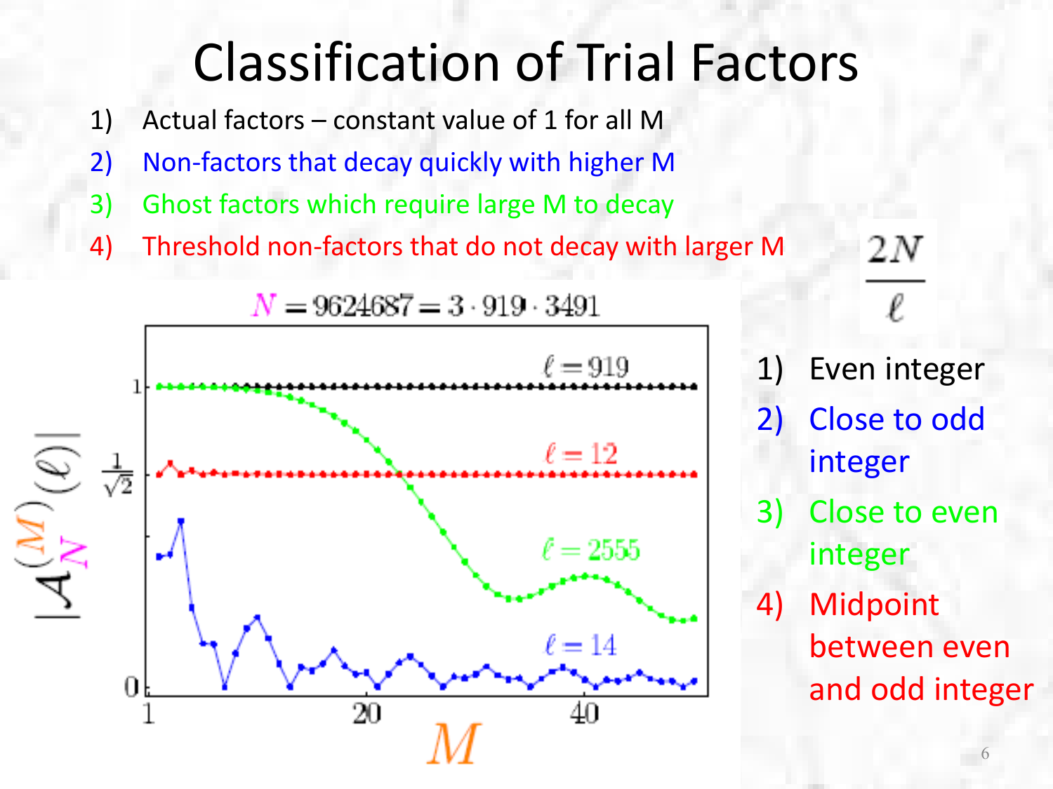## Classification of Trial Factors

- 1) Actual factors constant value of 1 for all M
- 2) Non-factors that decay quickly with higher M
- 3) Ghost factors which require large M to decay
- 4) Threshold non-factors that do not decay with larger M



1) Even integer

2 N

- 2) Close to odd integer
- 3) Close to even integer
- 4) Midpoint between even and odd integer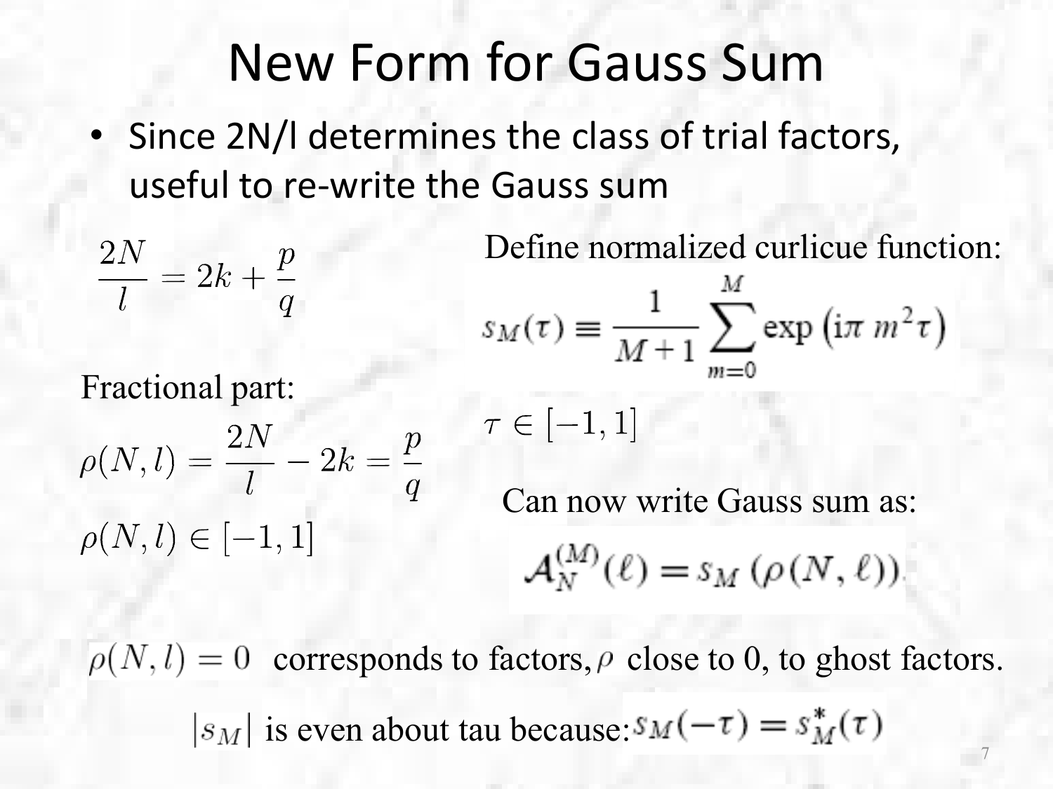### New Form for Gauss Sum

• Since 2N/l determines the class of trial factors, useful to re-write the Gauss sum

$$
\frac{2N}{l}=2k+\frac{p}{q}
$$

Fractional part:

$$
\rho(N,l) = \frac{2N}{l} - 2k = \frac{p}{q}
$$
  

$$
\rho(N,l) \in [-1,1]
$$

Define normalized curlicue function:

$$
s_M(\tau) \equiv \frac{1}{M+1} \sum_{m=0}^{\infty} \exp\left(i\pi m^2 \tau\right)
$$

$$
\tau \in [-1,1]
$$

Can now write Gauss sum as:

$$
\mathcal{A}_N^{(M)}(\ell) = s_M(\rho(N,\ell)).
$$

7  $\rho(N, l) = 0$  corresponds to factors,  $\rho$  close to 0, to ghost factors.  $|s_M|$  is even about tau because:  $s_M(-\tau) = s_M^*(\tau)$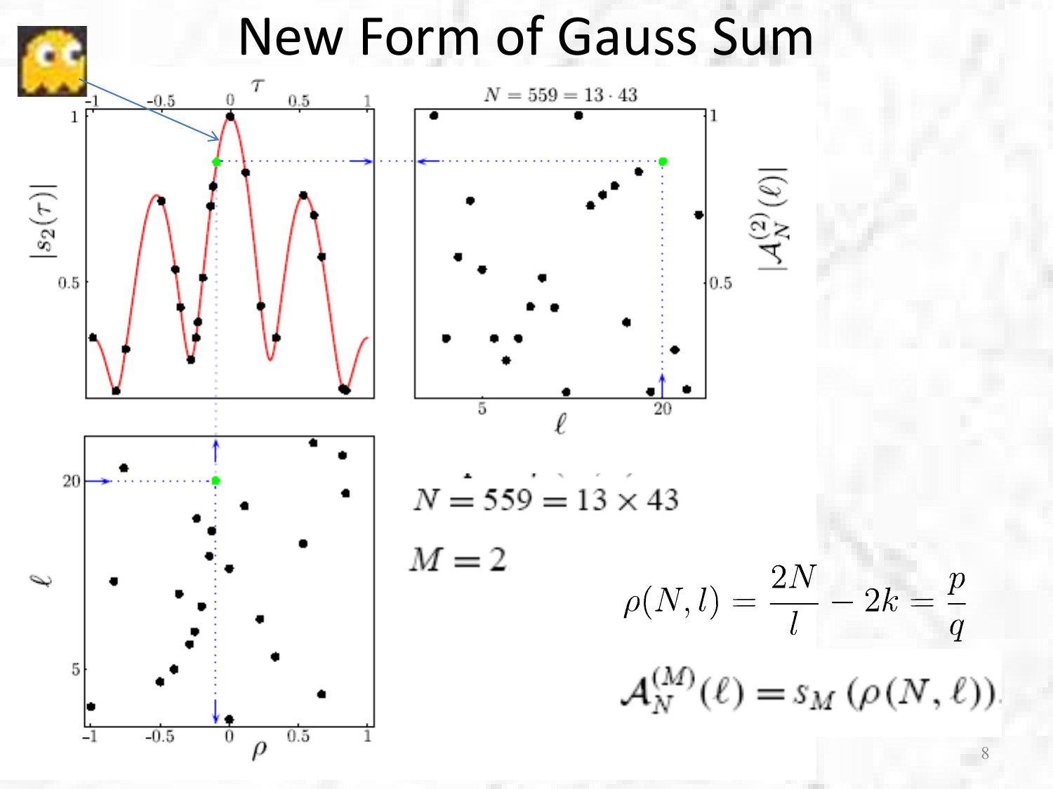

8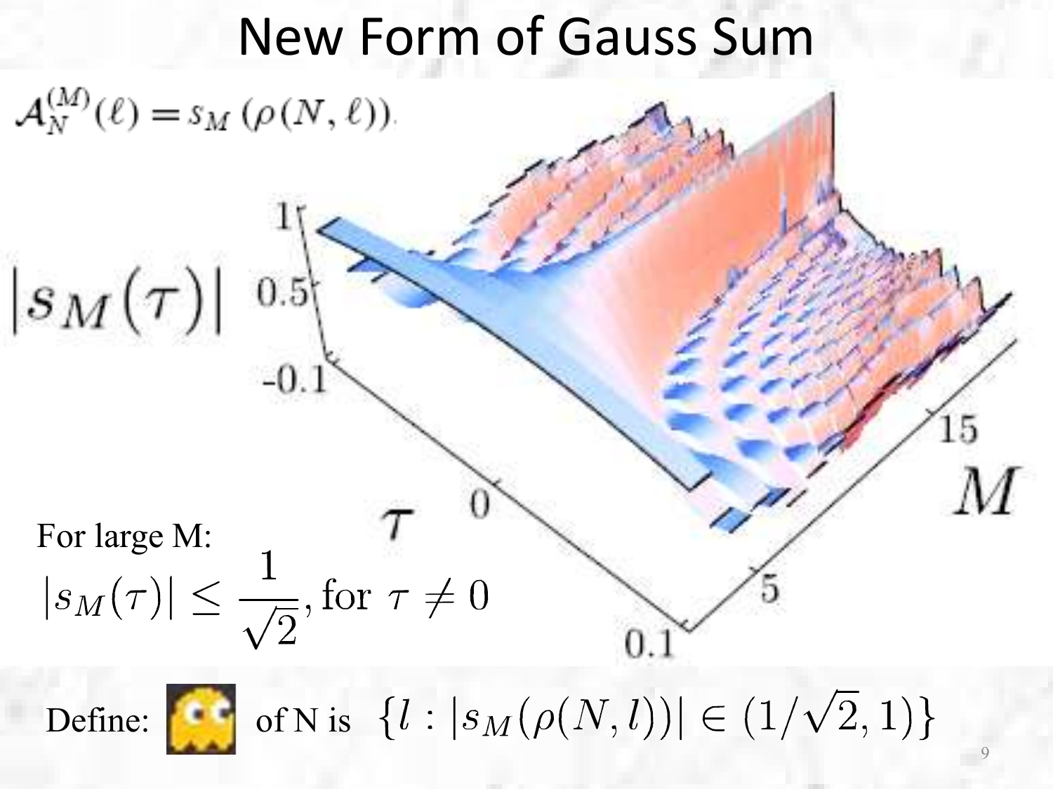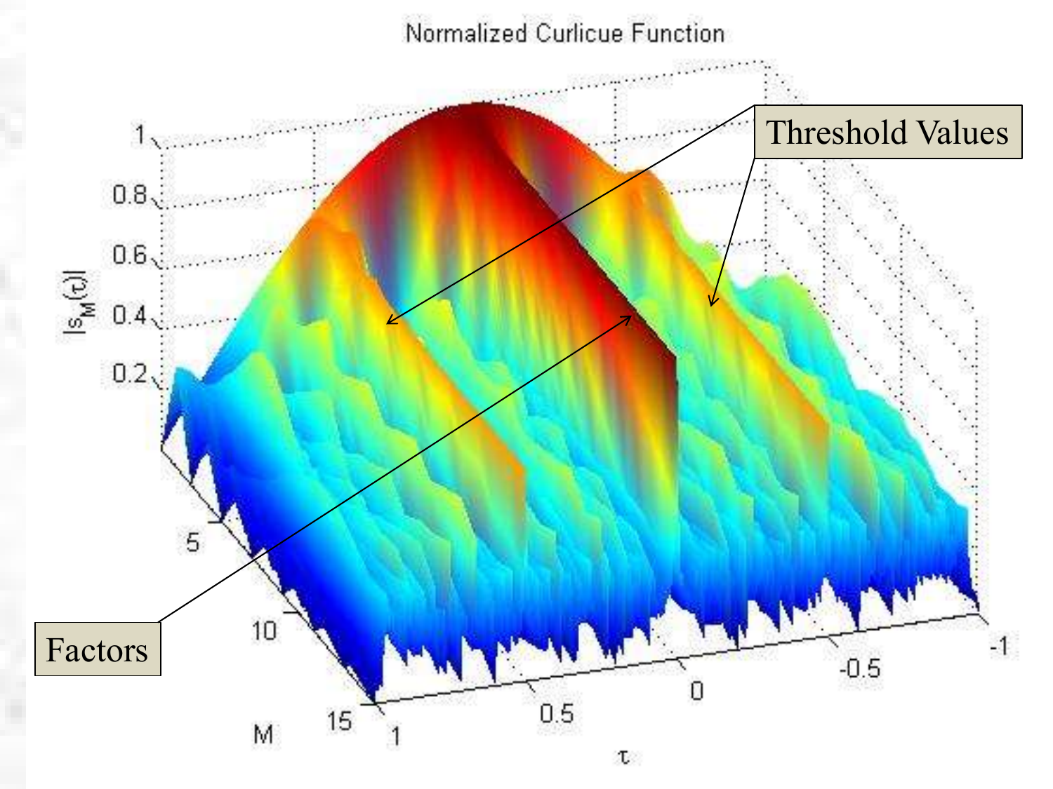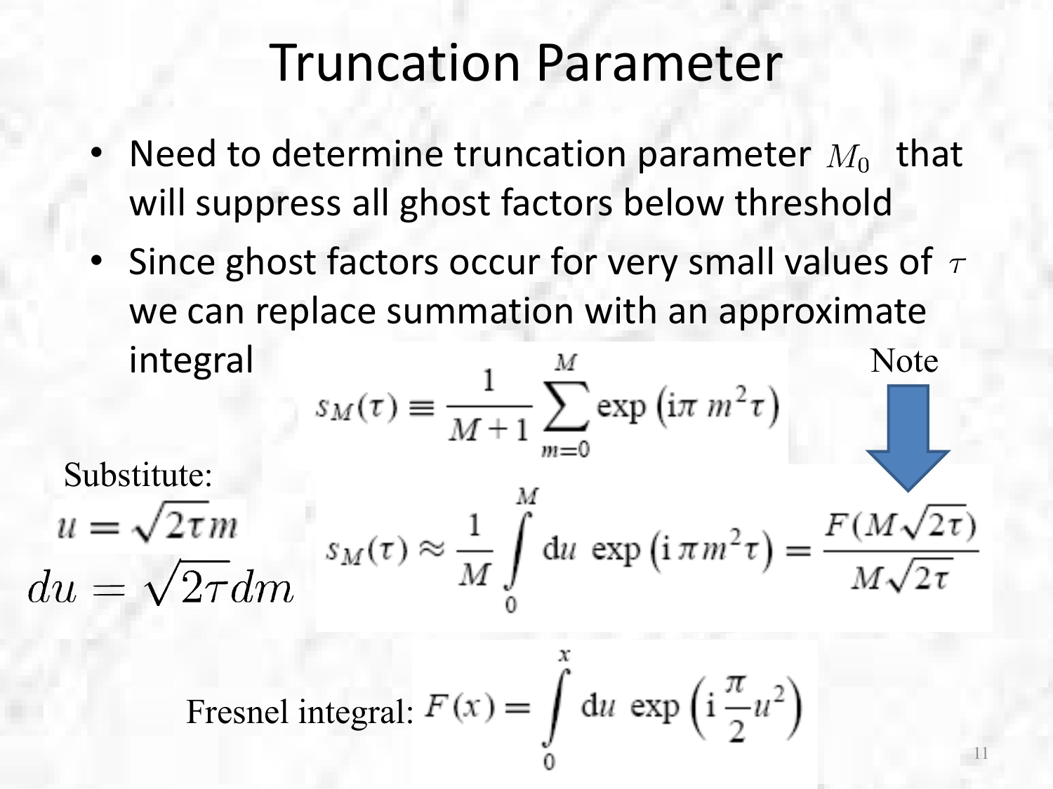#### Truncation Parameter

- Need to determine truncation parameter  $M_0$  that will suppress all ghost factors below threshold
- Since ghost factors occur for very small values of  $\tau$ we can replace summation with an approximate integral Note

Substitute:  
\n
$$
u = \sqrt{2\tau}m
$$
\n
$$
u = \sqrt{2\tau}dm
$$
\n
$$
u = \sqrt{2\tau}dm
$$
\n
$$
u = \sqrt{2\tau}dm
$$
\n
$$
u = \sqrt{2\tau}dm
$$
\n
$$
u = \sqrt{2\tau}dm
$$
\n
$$
u = \sqrt{2\tau}dm
$$
\n
$$
u = \sqrt{2\tau}dm
$$

Fresnel integral: 
$$
F(x) = \int du \exp\left(i\frac{\pi}{2}u^2\right)
$$

 $\chi$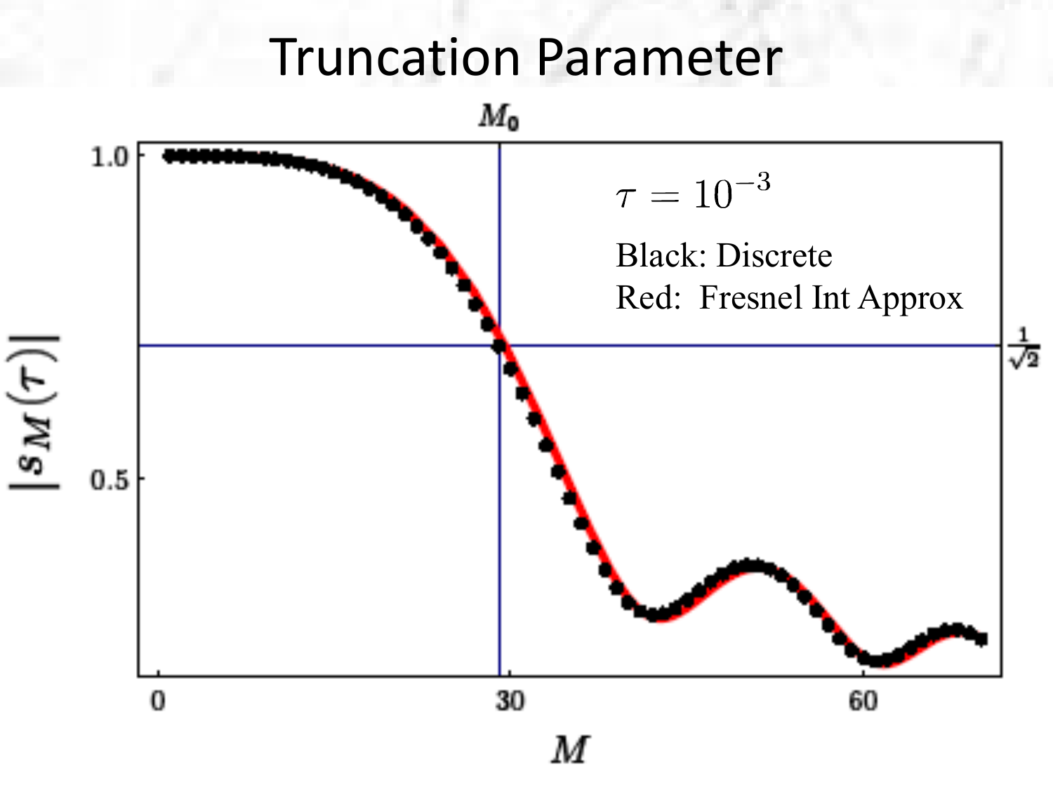#### Truncation Parameter

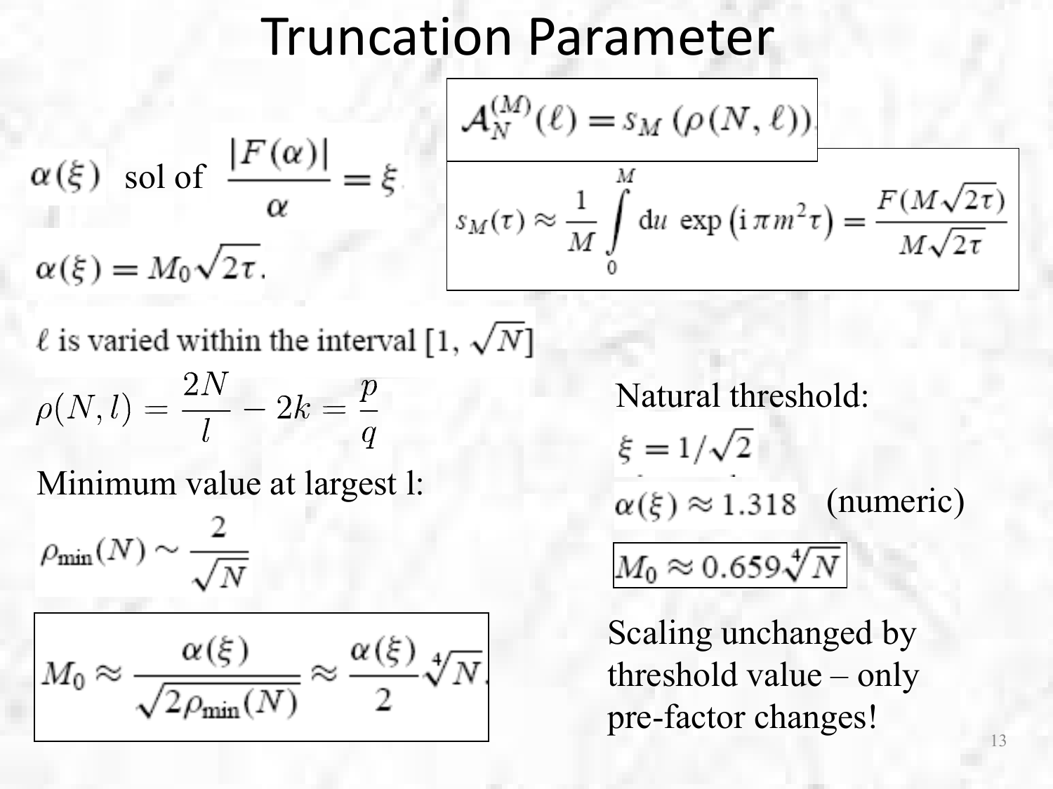#### Truncation Parameter

$$
\alpha(\xi) \quad \text{sol of} \quad \frac{|F(\alpha)|}{\alpha} = \xi.
$$
\n
$$
\alpha(\xi) = M_0 \sqrt{2\tau}.
$$
\n
$$
\alpha(\xi) = M_0 \sqrt{2\tau}.
$$
\n
$$
\alpha(\xi) = M_0 \sqrt{2\tau}.
$$
\n
$$
\alpha(\xi) = M_0 \sqrt{2\tau}.
$$

 $\ell$  is varied within the interval [1,  $\sqrt{N}$ ]

$$
\rho(N,l)=\frac{2N}{l}-2k=\frac{p}{q}
$$

Minimum value at largest l:

$$
\rho_{\min}(N) \sim \frac{2}{\sqrt{N}}
$$

$$
M_0 \approx \frac{\alpha(\xi)}{\sqrt{2\rho_{\min}(N)}} \approx \frac{\alpha(\xi)}{2} \sqrt[4]{N}
$$

Natural threshold:  $\xi = 1/\sqrt{2}$  $\alpha(\xi) \approx 1.318$  (numeric)  $M_0 \approx 0.659 \sqrt[4]{N}$ 

Scaling unchanged by threshold value – only pre-factor changes!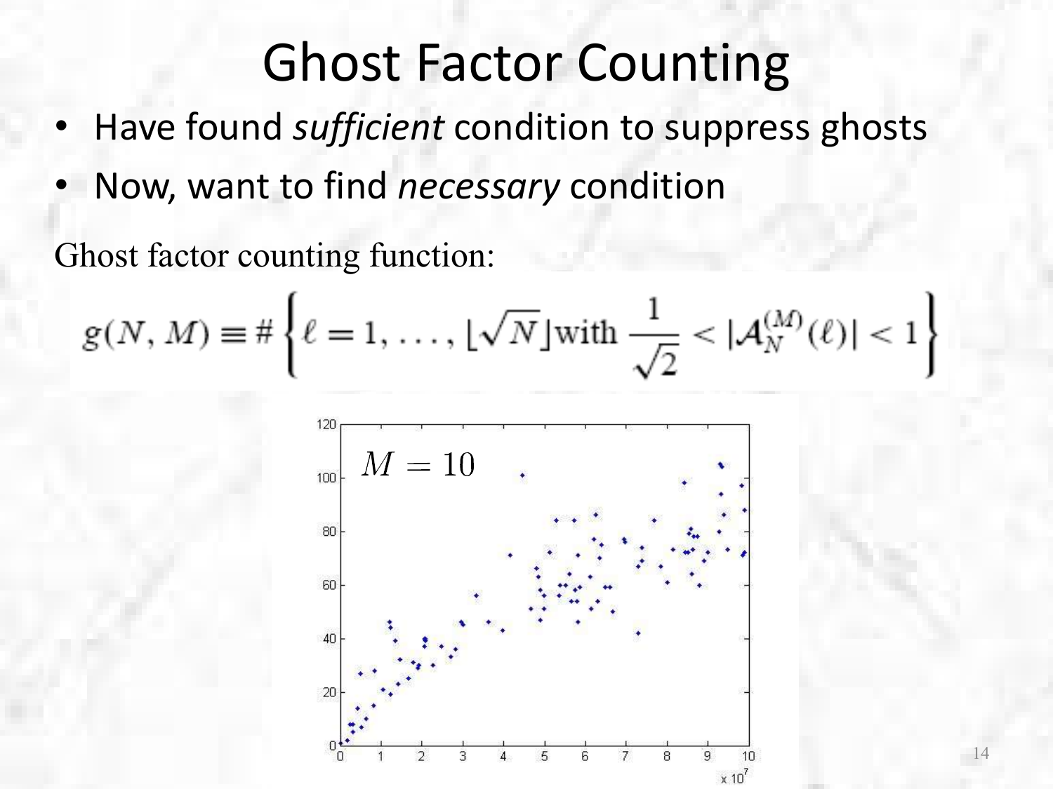- Have found *sufficient* condition to suppress ghosts
- Now, want to find *necessary* condition

Ghost factor counting function:

$$
g(N, M) \equiv # \left\{ \ell = 1, \ldots, \lfloor \sqrt{N} \rfloor \text{with } \frac{1}{\sqrt{2}} < |\mathcal{A}_N^{(M)}(\ell)| < 1 \right\}
$$

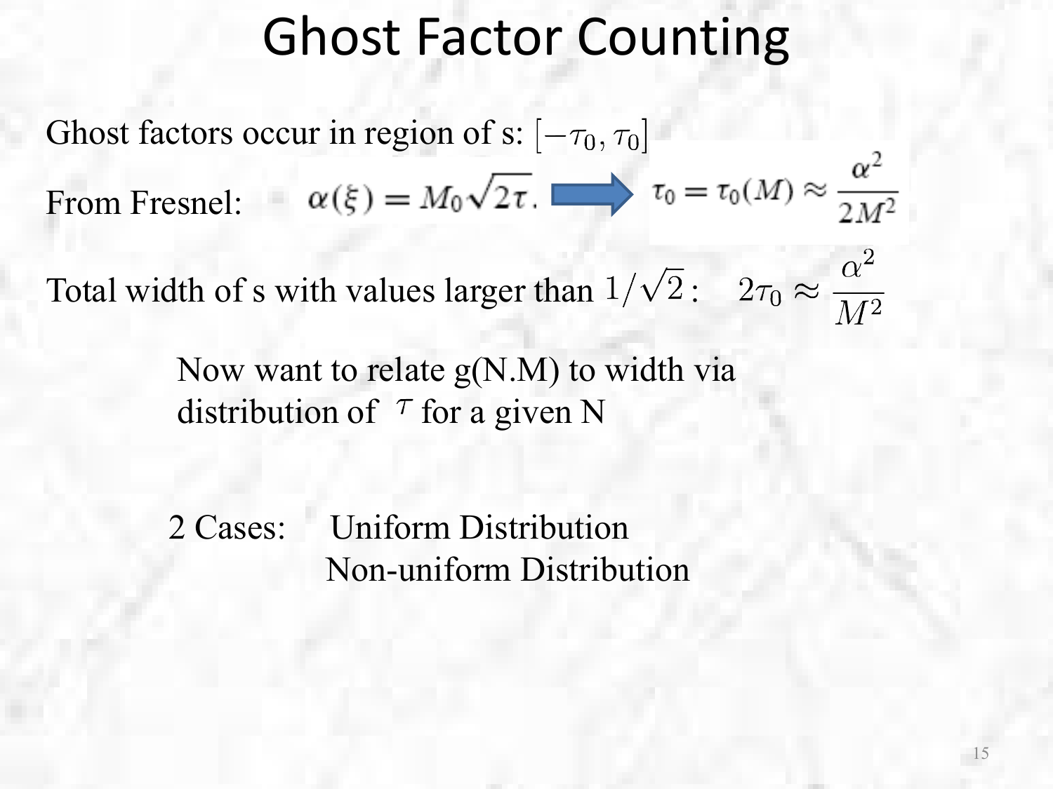Ghost factors occur in region of s:  $[-\tau_0, \tau_0]$ From Fresnel:  $\alpha(\xi) = M_0 \sqrt{2\tau}$ .  $\implies \tau_0 = \tau_0(M) \approx \frac{\alpha^2}{2M^2}$ 

Total width of s with values larger than  $1/\sqrt{2}$ :  $2\tau_0 \approx \frac{\alpha^2}{M^2}$ 

Now want to relate g(N.M) to width via distribution of  $\tau$  for a given N

2 Cases: Uniform Distribution Non-uniform Distribution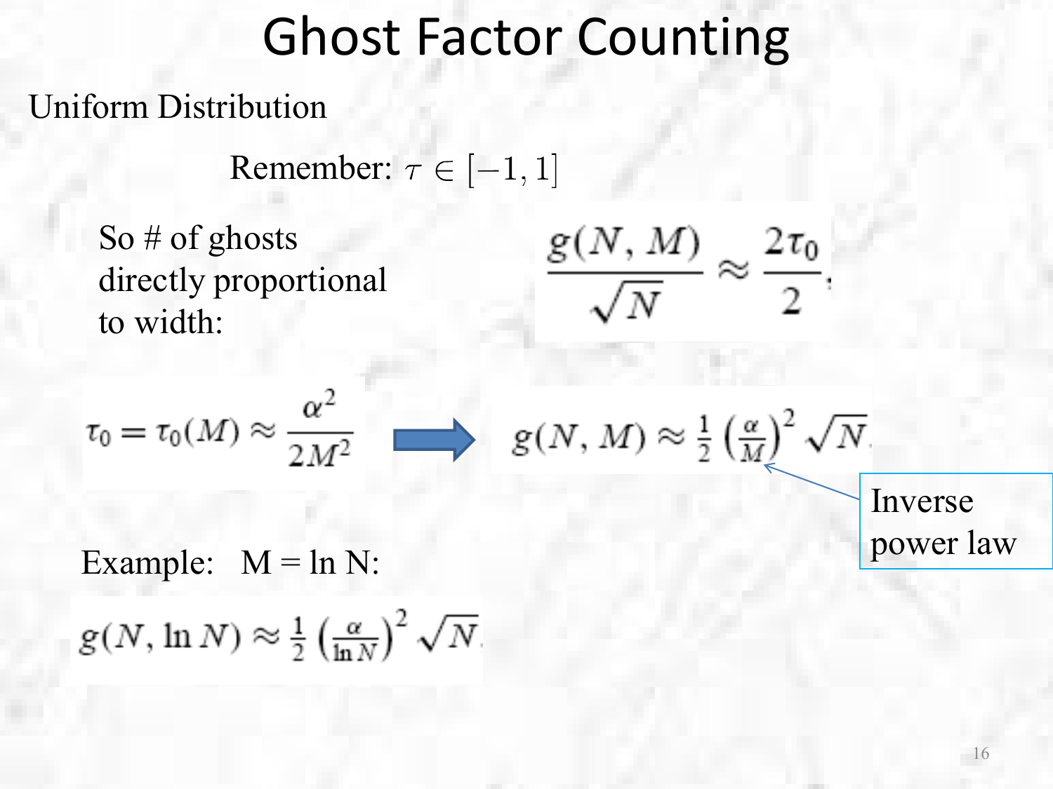#### Uniform Distribution

Remember:  $\tau \in [-1, 1]$ 

So # of ghosts directly proportional to width:

 $g(N, \ln N) \approx \frac{1}{2} \left(\frac{\alpha}{\ln N}\right)^2 \sqrt{N}$ 

$$
\frac{g(N,M)}{\sqrt{N}} \approx \frac{2\tau_0}{2}.
$$

$$
\tau_0 = \tau_0(M) \approx \frac{\alpha^2}{2M^2} \longrightarrow g(N, M) \approx \frac{1}{2} \left(\frac{\alpha}{M}\right)^2 \sqrt{N}.
$$
  
Inverse  
example: M = ln N: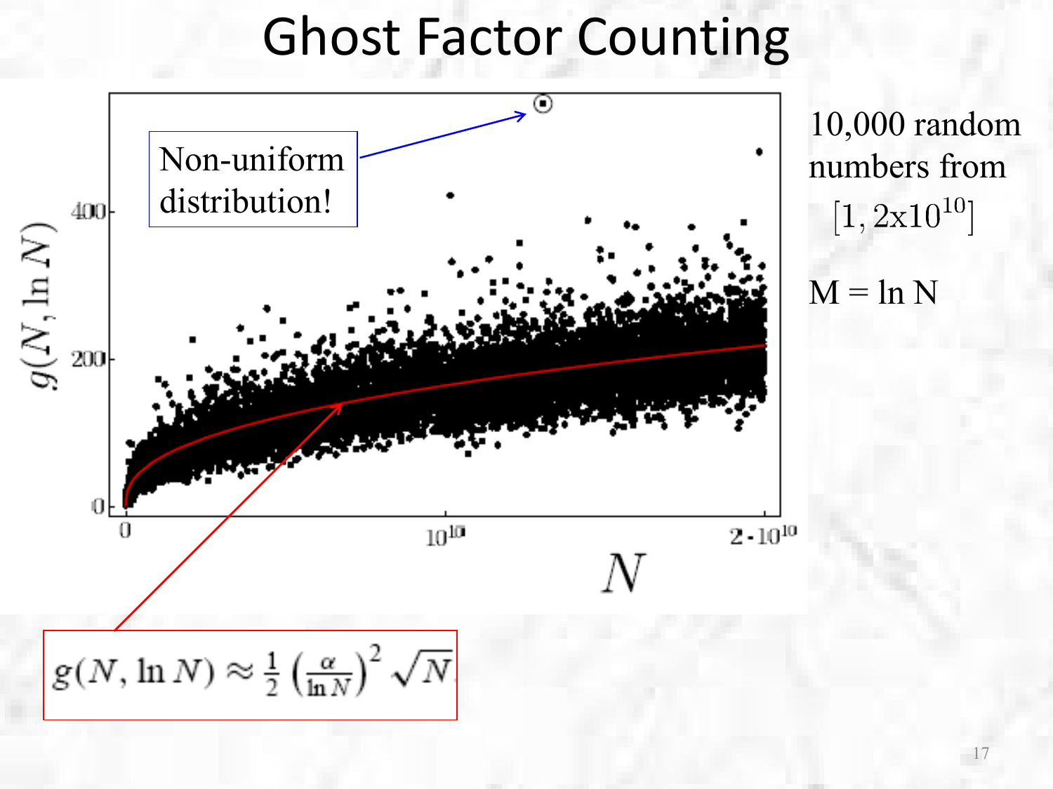

10,000 random numbers from  $[1, 2x10^{10}]$ 

 $M = \ln N$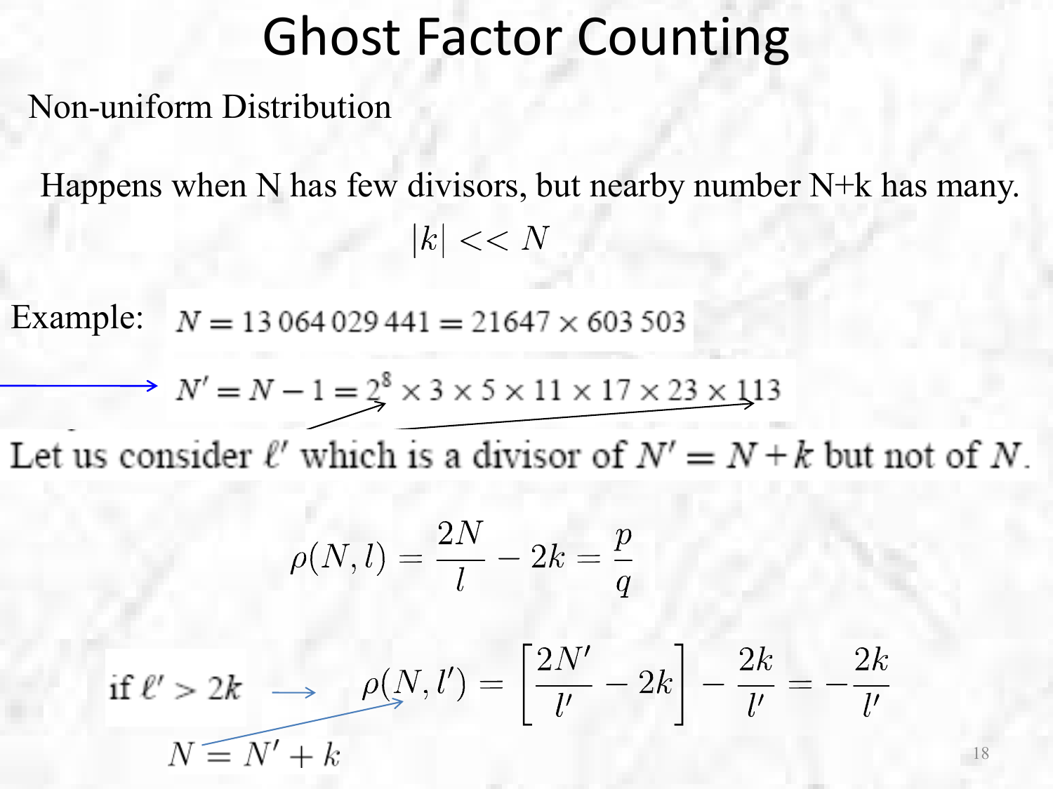Non-uniform Distribution

Happens when N has few divisors, but nearby number N+k has many.  $|k| << N$ 

Example: $N = 13064029441 = 21647 \times 603503$ 

$$
N' = N - 1 = 2^8 \times 3 \times 5 \times 11 \times 17 \times 23 \times 113
$$

Let us consider  $\ell'$  which is a divisor of  $N' = N + k$  but not of N.

$$
\rho(N,l)=\frac{2N}{l}-2k=\frac{p}{q}
$$

$$
\text{if } \ell' > 2k \implies \rho(N, l') = \left[\frac{2N'}{l'} - 2k\right] - \frac{2k}{l'} = -\frac{2k}{l'}
$$
\n
$$
N \equiv N' + k
$$

18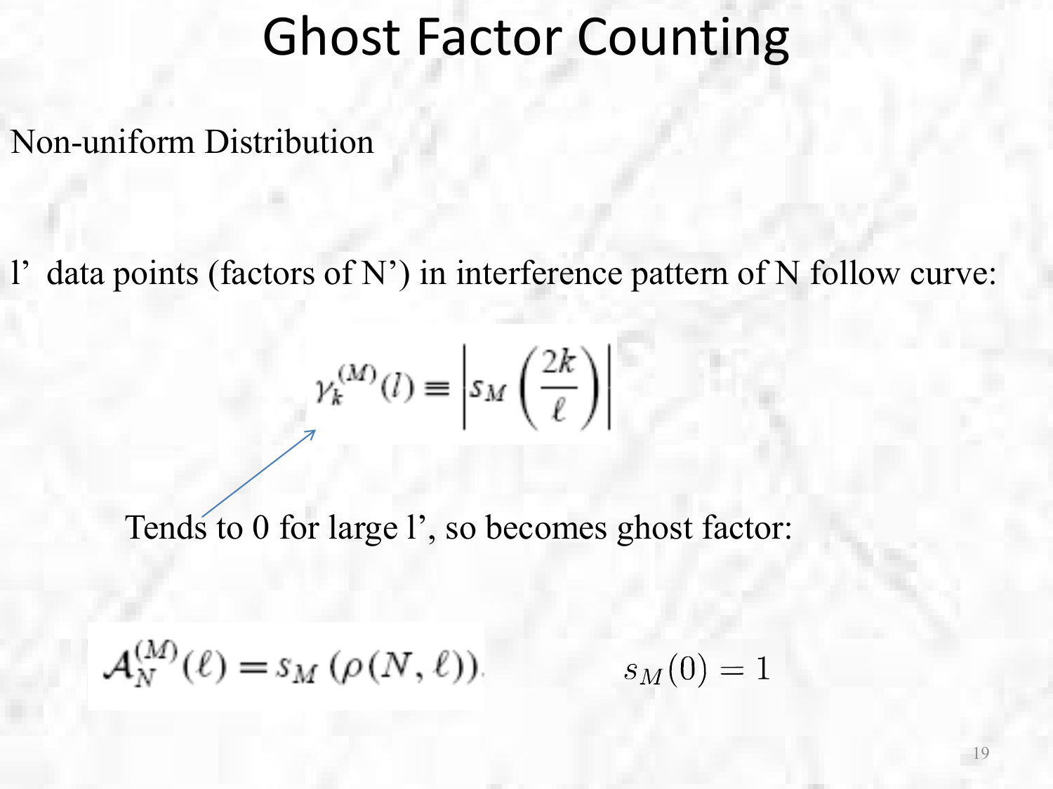Non-uniform Distribution

l' data points (factors of N') in interference pattern of N follow curve:

$$
\gamma_k^{(M)}(l) \equiv \left| s_M\left(\frac{2k}{\ell}\right) \right|
$$

Tends to 0 for large l', so becomes ghost factor:

$$
\mathcal{A}_N^{(M)}(\ell) = s_M(\rho(N,\ell)).
$$

 $s_M(0) = 1$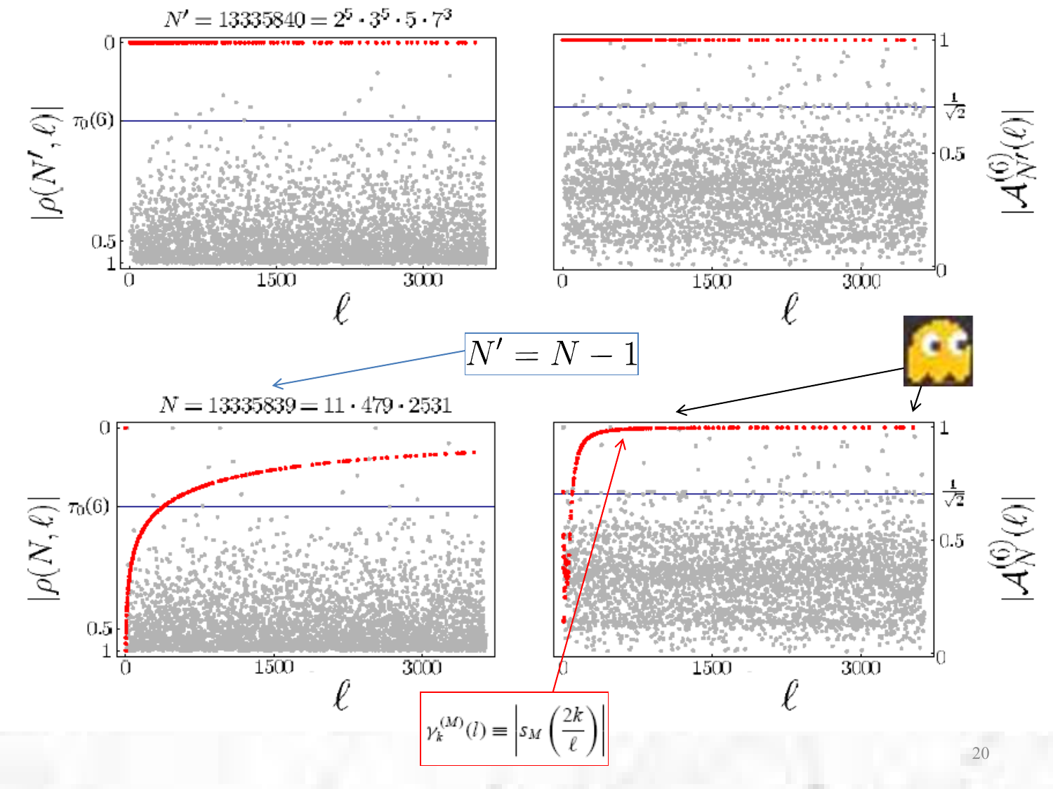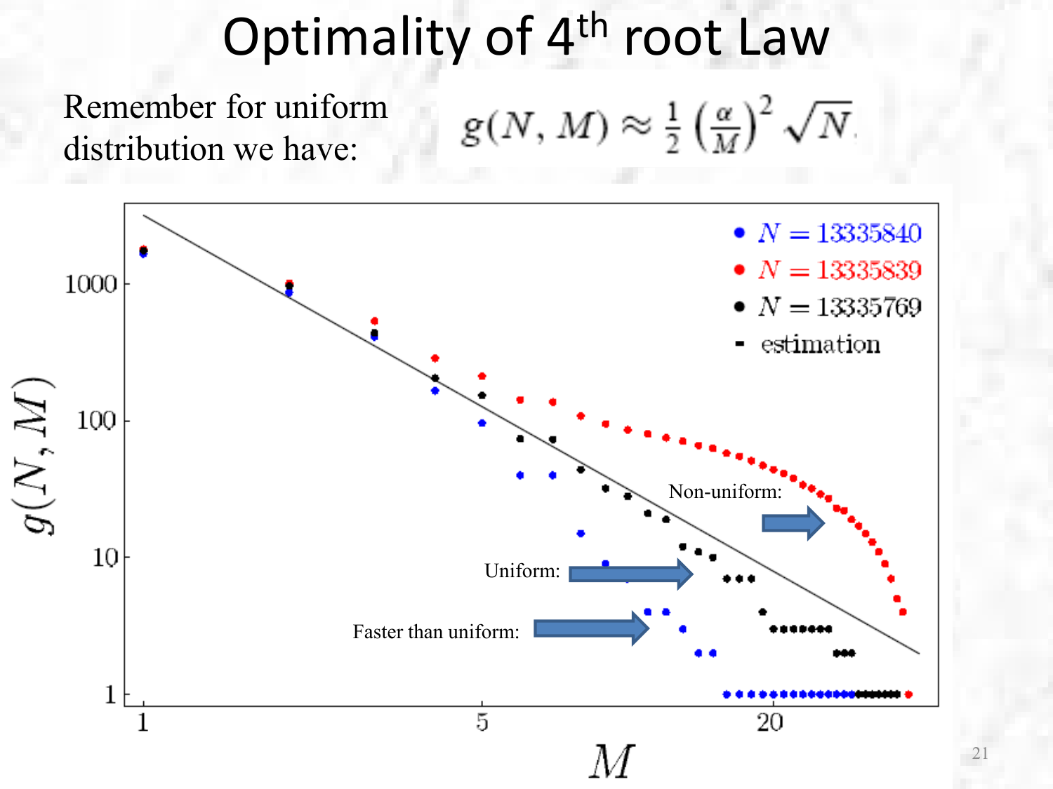## Optimality of 4<sup>th</sup> root Law

Remember for uniform distribution we have:

$$
g(N,M) \approx \frac{1}{2} \left(\frac{\alpha}{M}\right)^2 \sqrt{N}
$$

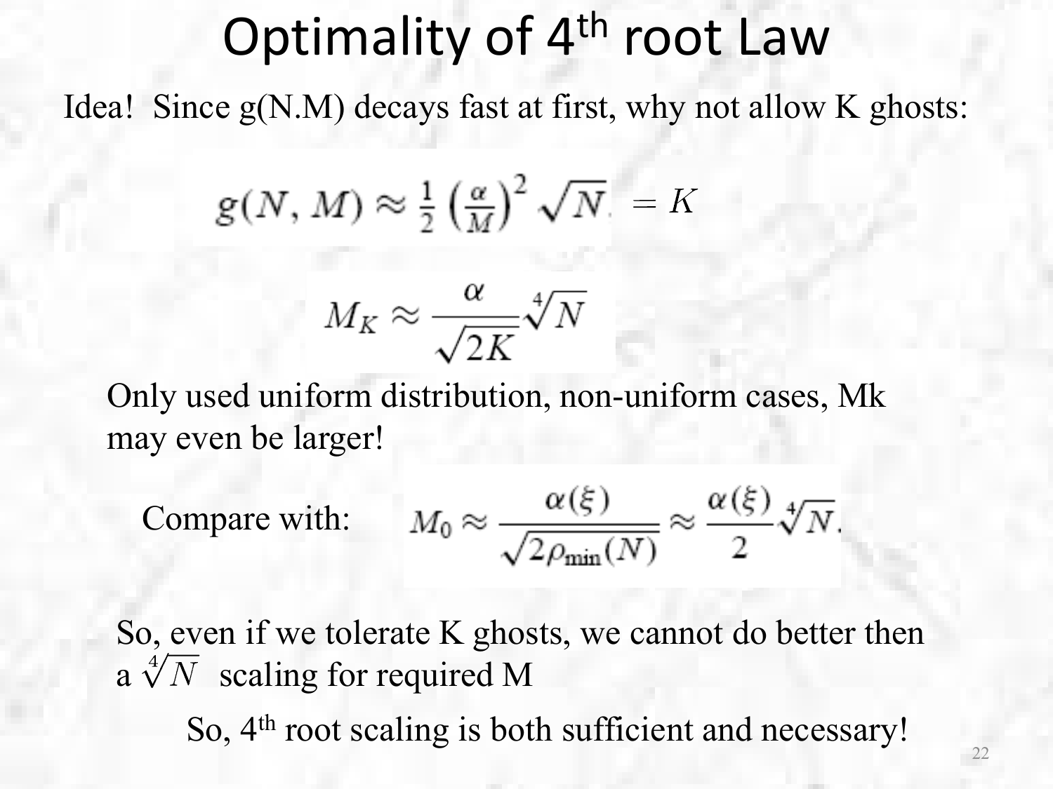## Optimality of 4<sup>th</sup> root Law

Idea! Since g(N.M) decays fast at first, why not allow K ghosts:

$$
g(N,M) \approx \tfrac{1}{2} \left(\tfrac{\alpha}{M}\right)^2 \sqrt{N} = K
$$

$$
M_K \approx \frac{\alpha}{\sqrt{2K}} \sqrt[4]{N}
$$

Only used uniform distribution, non-uniform cases, Mk may even be larger!

Compare with: 
$$
M_0 \approx \frac{\alpha(\xi)}{\sqrt{2\rho_{\min}(N)}} \approx \frac{\alpha(\xi)}{2} \sqrt[4]{N}
$$
.

So, even if we tolerate K ghosts, we cannot do better then a  $\sqrt[4]{N}$  scaling for required M So, 4<sup>th</sup> root scaling is both sufficient and necessary!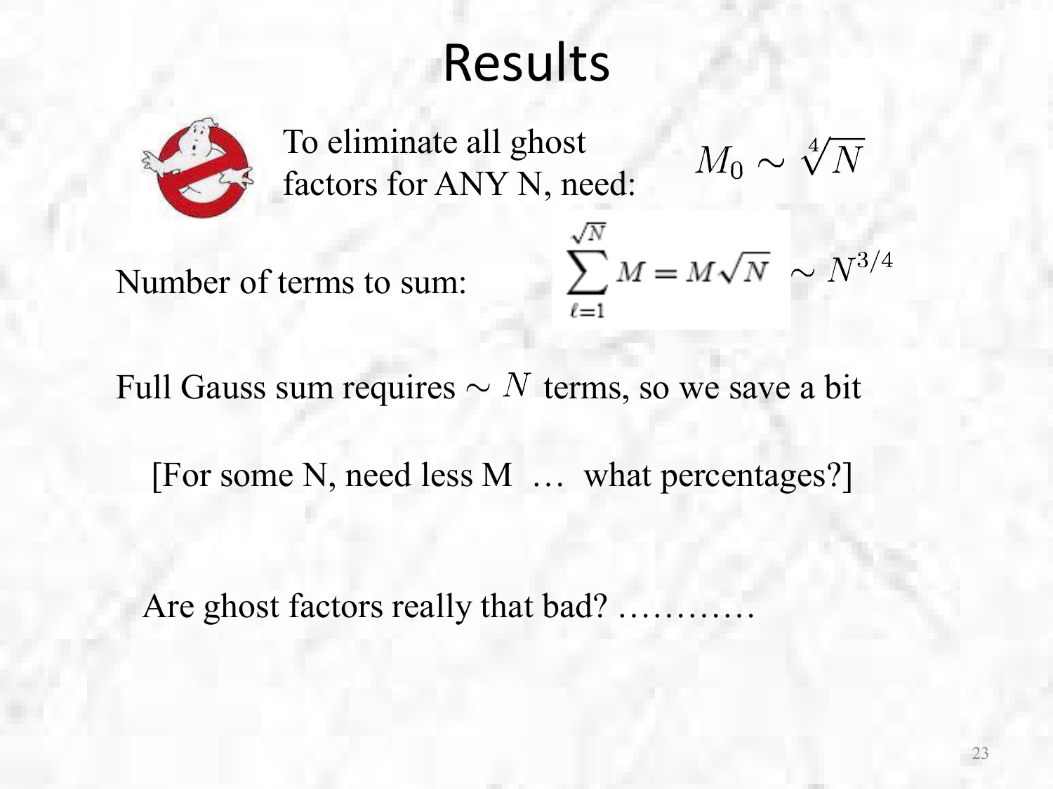## Results



To eliminate all ghost factors for ANY N, need:

 $M_0 \sim \sqrt[4]{N}$ 

Number of terms to sum:

$$
\sum_{\ell=1}^{\sqrt{N}} M = M\sqrt{N} \sim N^{3/4}
$$

Full Gauss sum requires  $\sim N$  terms, so we save a bit

[For some N, need less M … what percentages?]

Are ghost factors really that bad?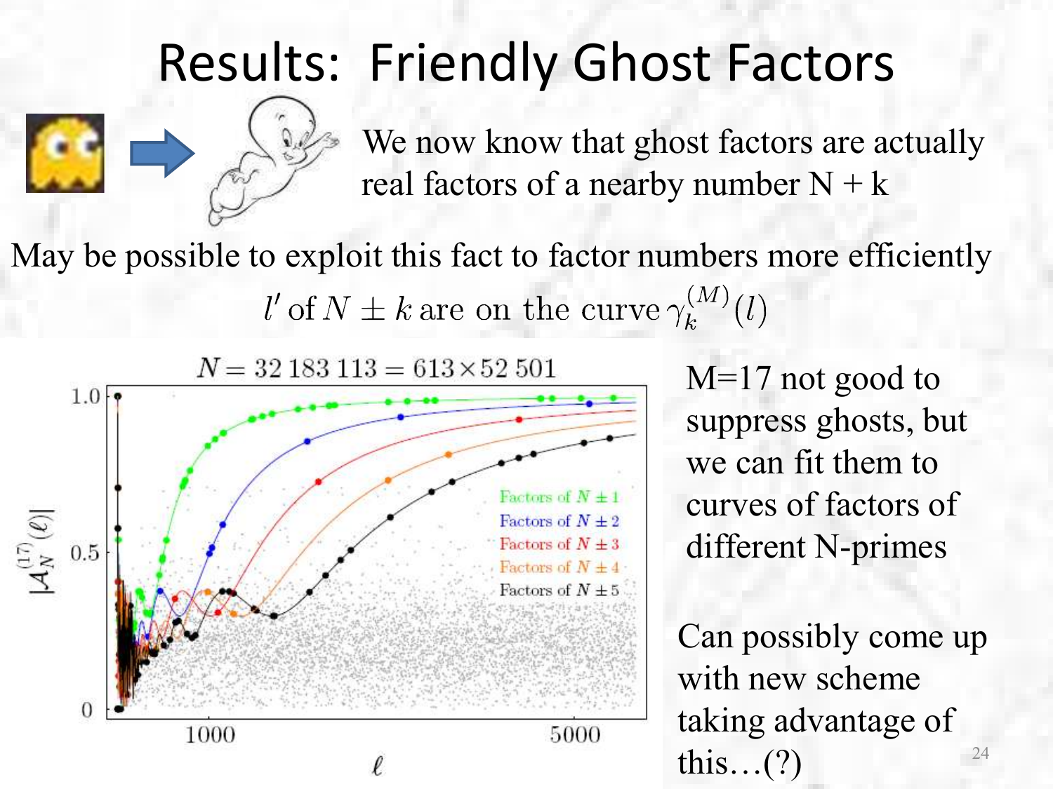### R[esults:](http://images.google.com/imgres?imgurl=http://i-love-cartoons.com/snags/clipart/Casper-Friendly-Ghost/Casper-Friendly-Ghost-3.jpg&imgrefurl=http://i-love-cartoons.com/snags/clipart/Casper-Friendly-Ghost-clipart.php&usg=__nlOdy0cvTim10QtkYUyPB0ppTLA=&h=313&w=344&sz=33&hl=en&start=6&sig2=3y2CYW-LnlwnLPodcZBrpQ&tbnid=UGEtxEGwVEtpXM:&tbnh=109&tbnw=120&prev=/images%3Fq%3Dcasper%26gbv%3D2%26hl%3Den&ei=9HTBSZvfHZKMsQOqxf3qBg) Friendly Ghost Factors



We now know that ghost factors are actually real factors of a nearby number  $N + k$ 

May be possible to exploit this fact to factor numbers more efficiently  $l'$  of  $N \pm k$  are on the curve  $\gamma_k^{(M)}(l)$ 



M=17 not good to suppress ghosts, but we can fit them to curves of factors of different N-primes

24 Can possibly come up with new scheme taking advantage of this…(?)